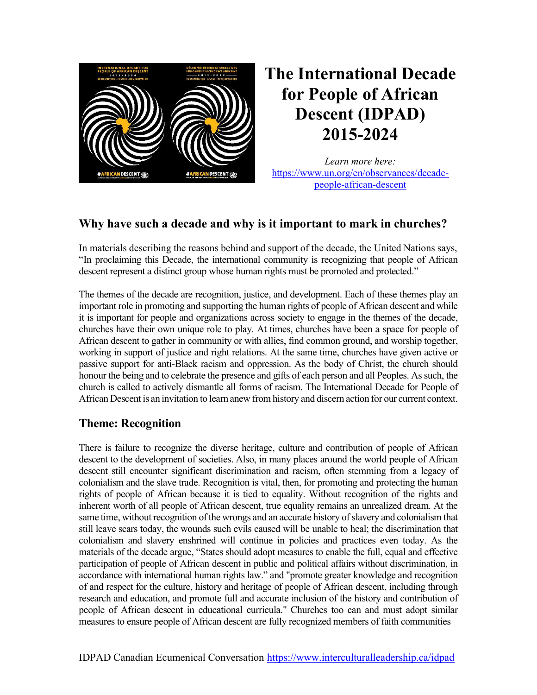

# The International Decade for People of African Descent (IDPAD) 2015-2024

Learn more here: https://www.un.org/en/observances/decadepeople-african-descent

## Why have such a decade and why is it important to mark in churches?

In materials describing the reasons behind and support of the decade, the United Nations says, "In proclaiming this Decade, the international community is recognizing that people of African descent represent a distinct group whose human rights must be promoted and protected."

The themes of the decade are recognition, justice, and development. Each of these themes play an important role in promoting and supporting the human rights of people of African descent and while it is important for people and organizations across society to engage in the themes of the decade, churches have their own unique role to play. At times, churches have been a space for people of African descent to gather in community or with allies, find common ground, and worship together, working in support of justice and right relations. At the same time, churches have given active or passive support for anti-Black racism and oppression. As the body of Christ, the church should honour the being and to celebrate the presence and gifts of each person and all Peoples. As such, the church is called to actively dismantle all forms of racism. The International Decade for People of African Descent is an invitation to learn anew from history and discern action for our current context.

### Theme: Recognition

There is failure to recognize the diverse heritage, culture and contribution of people of African descent to the development of societies. Also, in many places around the world people of African descent still encounter significant discrimination and racism, often stemming from a legacy of colonialism and the slave trade. Recognition is vital, then, for promoting and protecting the human rights of people of African because it is tied to equality. Without recognition of the rights and inherent worth of all people of African descent, true equality remains an unrealized dream. At the same time, without recognition of the wrongs and an accurate history of slavery and colonialism that still leave scars today, the wounds such evils caused will be unable to heal; the discrimination that colonialism and slavery enshrined will continue in policies and practices even today. As the materials of the decade argue, "States should adopt measures to enable the full, equal and effective participation of people of African descent in public and political affairs without discrimination, in accordance with international human rights law." and "promote greater knowledge and recognition of and respect for the culture, history and heritage of people of African descent, including through research and education, and promote full and accurate inclusion of the history and contribution of people of African descent in educational curricula." Churches too can and must adopt similar measures to ensure people of African descent are fully recognized members of faith communities